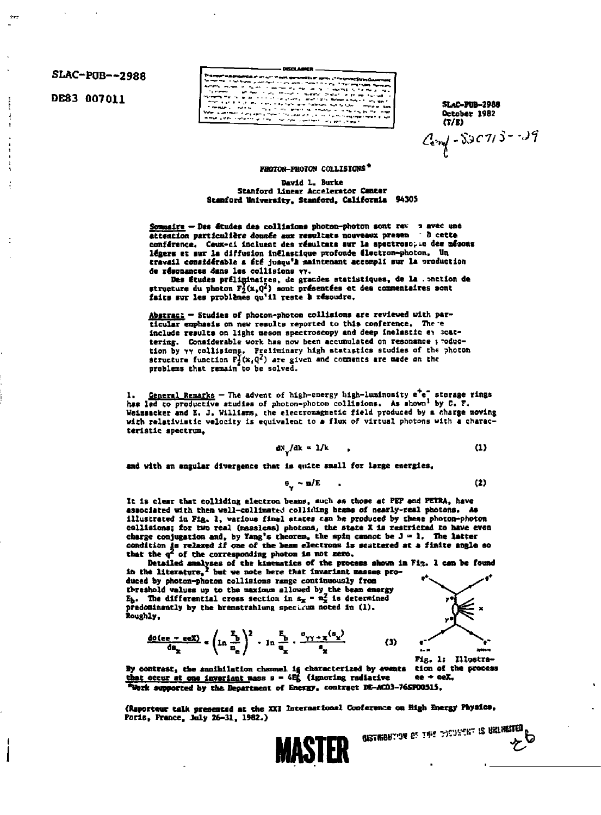SLAC-PUB--2988

DE83 007011

e<br>Allen Maringal<br>School Maringal<br>Childharangala ana.<br>Ali کوشیده ریز در بیش<br>مردم بود اما و در دانش<br>بیش با و بر بیش با www.gov ana ayyu nomin<br>Seminar Paragon (Paragon)<br>Michael Paragon (Paragon)

**SLAC-PUB-2988** October 1982  $(T/E)$  $C_{\rm exp} - 5307/5 - 39$ 

**FHOTON-PHOTON COLLISIONS\*** 

David L. Burke Stanford Linear Accelerator Center Stanford University, Stanford, California 94305

Sommaire - Des études des collisions photon-photon sont rev 3 avec une attention particulière donnée aux resultats nouveaux presen à cette conférence. Ceux-ci incluent des résultats sur la spectrosopie des mésons légers et aur la diffusion inélastique profonde électron-photon, Un<br>travail comsidérable a été juaqu'à maintenant accompli sur la production de résonances dans les collisions yv.

Des études préliminaires, de grandes statistiques, de la . onction de structure du photon  $F_2^Y(x, Q^2)$  sont présentées et des commentaires sont faits sur les problèmes qu'il reste à résoudre.

Abstracz - Studies of photon-photon collisions are reviewed with particular emphasis on new results reported to this conference. There include results on light meson spectroscopy and deep inelastic ey scattering. Considerable work has now been accumulated on resonance ; roduction by  $\gamma\gamma$  collisions. Preliminary high atatistics studies of the photon structure function  $F_1^f(x, q^2)$  are given and comments are made on the problems that remain to be solved.

General Remarks - The advent of high-energy high-luminosity e<sup>t</sup>e<sup>t</sup> storage rings has led to productive studies of photon-photon collisions. As shown<sup>1</sup> by C. F. Weizsacker and E. J. Williams, the electromagnetic field produced by a charge moving with relativistic velocity is equivalent to a flux of virtual photons with a characteristic spectrum,

$$
dN/dk = 1/k \tag{1}
$$

and with an angular divergence that is quite small for large energies.

$$
\theta_{\omega} \sim m/E \tag{2}
$$

It is clear that colliding electron beams, such as those at PEP and PEIRA, have associated with them well-collimated colliding beams of nearly-real photons. As illustrated in Fig. 1, various final states can be produced by these photon-photon collisions; for two real (massless) photons, the state X is restricted to have even charge conjugation and, by Yang's theorem, the spin cannot be  $J = 1$ . The latter condition is relaxed if one of the beam electrons is scattered at a finite angle so that the  $q^2$  of the corresponding photon is not zero.

Detailed analyses of the kinematics of the process shown in Fig. 1 can be found<br>in the literature,<sup>2</sup> but we note here that invariant masses produced by photon-photon collisions range continuously from threshold values up to the maximum allowed by the beam energy  $E_b$ . The differential cross section in  $s_x = n_x^2$  is determined predominantly by the brenstrahlung specisum noted in (1). Roughly,





 $z^{\circ}$ 

By contrast, the snaihilation channel is characterized by events that occur at one invariant mass  $s = 4E_5$  (ignoring radiative tion of the process  $ee + eeX$ \*Work supported by the Bepartment of Energy, contract DE-ACO3-76SP00515.

(Raporteur talk presented at the XXI International Conference on High Energy Physics, Paris, France, July 26-31, 1982.) GISTRIBUTION OF THE PECURIAT IS URLIMITED

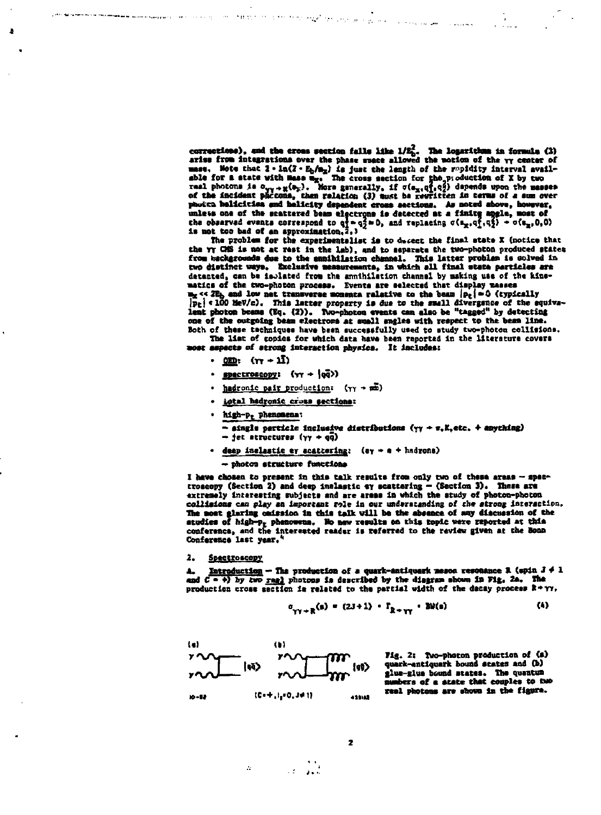corrections), and the cross section falls like  $1/E_0^2$ . The logarithme in formule (3) arise from integrations over the phase space allowed the motion of the  $\gamma\gamma$  center of arise from integrations over the phase space allowed the motion of the TV conten on<br>able for a state with Rass m<sub>g</sub>, The cross section for the replaction of X by two<br>real photons is  $\alpha_{yy} + g(\mathbf{b}_x)$ . Here are acceler for measurement the scattered best electrons is detected at a finite apple, most of<br>the observed events correspond to  $q = q_2^2 \approx 0$ , and replacing  $\sigma(\mathbf{a}_x, q_1^2, q_2^2) - \sigma(\mathbf{a}_x, 0, 0)$ <br>is not too bad of an approximation,

The problem for the experimentalist is to decent the final state X (notice that the YT CMS is not at rest in the lab), and to separate the two-photon produced states from backgrounds due to the annihilation channel. This latter problem is colved in two distinct usys. Exclusive measurements, in which all final state particles are two distinct usys. Exclusive measurements, in which all final state particles are matics of the two-photon process. Events are selected that display masses  $\mathbb{E}_{\mathbf{z}} \leq 2\mathbb{E}_{\mathbf{b}}$  and low net transverse mounta relative to the beam  $|\mathbf{p}_t| = 0$  (typically  $|\mathbf{p}_t| < 100$  MeV/c). This latter property is due to the small divergence of the squiva-<br>lent photon beams (Eq. one of the outgoing beam electrons at small angles with respect to the beam line. Both of these techniques have been successfully used to study two-photon collisions.

The list of copies for which data have been reported in the literature covers most aspects of strong interaction physics. It includes:

• <u>000</u>: (nr + 1∫)

הממונה האשרות המוניית היא מרכז המהלך למי לשירות היו בכן בכן בבית היה היו היו ביותר והממונה ששמש שמש הממושים שה<br>הממונה האשרות היה היא מרכז מה מהלך למי לשירות היו בכן בכן בכן היה היה ביותר משפט ששם שמשירות הממושים שהיו

- spectroscopy:  $(\gamma \gamma + |\overline{qq}\rangle)$
- hadronic pair production: (YY + mm)  $\bullet$
- · iotal hadronic cross sections:
- . high-p. phenomena:
	- $-$  single particle inclusive distributions  $(\gamma \gamma + \tau, K, etc. +$  anything)
	- $-$  jet atructures ( $\gamma\gamma$  + qq)
- deep inclastic ey scattering:  $(e<sub>y</sub> \rightarrow e + hadrons)$

- photon etructure functions

I have chosen to present in this talk results from only two of these areas -- spectroscopy (Section 2) and deep inclustic ay scattering - (Section 3). There are<br>extremely interesting subjects and are areas in which the study of photon-photon collisions can play an important role in our understanding of the strong interaction. The most glaring emission in this talk will be the absence of any discussion of the atudies of high-p<sub>r</sub> phenomena. Ho new results on this topic were reported at this conference, and the interested reader is referred to the review given at the Bonn Conference last year.<sup>4</sup>

## 2. <u> Spectroscopy</u>

A. Introduction - The production of a quark-antiquark meson resonance R (spin  $3 \neq 1$  and  $C = \{0\}$  by two real photons is described by the diagram shown in Fig. 2a. The production cross section is related to the partial width of the decay process R+YY,

$$
\sigma_{\gamma\gamma \to R}(\mathbf{s}) = (2J+1) \cdot \Gamma_{R+\gamma\gamma} \cdot B\theta(\mathbf{s}) \tag{4}
$$



 $\mathcal{M}^{\mathcal{A}}$ 

Fig. 2: Two-photon production of (a) quark-antiquark bound scates and (b) glue-glue bound states. The quantum numbers of a state that couples to two real photons are shown in the figure.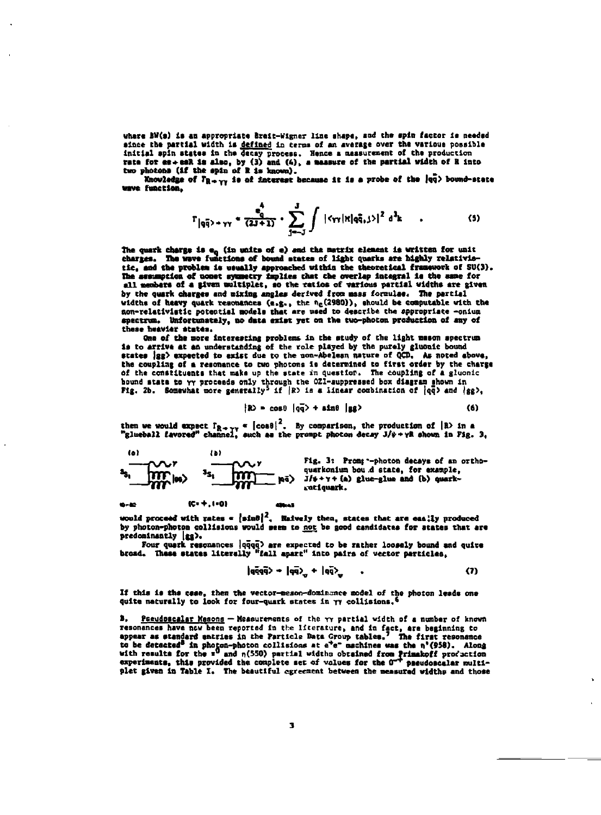where BW(s) is an appropriate Breit-Wigner line shape, and the spin factor is needed since the partial width is defined in terms of an average over the various possible<br>initial spin states in the decay process. Hence a massurement of the production<br>rate for ex-eeR is also, by (3) and (4), a measure of the two photons (if the spin of R is known).

Enceledge of  $T_{R \to \gamma\gamma}$  is of interest because it is a probe of the  $|qq\rangle$  bound-state wave function.

$$
\Gamma_{|q\bar{q}\rangle + \gamma\gamma} \triangleq \frac{e_{q}^{\bar{q}}}{(2J+1)} \cdot \sum_{j=-J}^{J} \int |\langle \gamma\gamma | x | q\bar{q}, j\rangle|^{2} d^{2}k \qquad . \tag{5}
$$

The quark charge is e<sub>q</sub> (in units of e) and the matrix element is written for unit<br>charges. The wave functions of bound states of light quarks are highly relativistic, and the problem is usually approached within the theoretical framework of SU(3). The assumption of nonet symmetry implies that the overlap integral is the same for all members of a given multiplet, so the ratios of various partial widths are given by the quark charges and mixing angles derived from mass formulae. The partial widths of hasvy quark resolutions (e.g., the he (2980)), should be computable with the son-relativistic potential models that are used to describe the appropriate -onium spectrum. Unfortunately, no data exist yet on the two-photon production of any of these heavier states.

One of the more interesting problems in the study of the light mason spectrum is to arrive at an understanding of the role played by the purely gluonic bound states ag) expected to exist due to the non-Abelean nature of QCD. As noted above, the coupling of a resonance to two photons is determined to first order by the charge of the constituents that make up the state in question. The coupling of a gluonic bound state to  $\gamma\gamma$  proceeds only through the OZI-suppressed box diagram shown in<br>Fig. 2b. Somewhat more generally<sup>5</sup> if  $|R$  is a linear combination of  $|qq\rangle$  and  $|gg\rangle$ ,

$$
|\mathbf{R} \rangle = \cos \theta \, |\mathbf{q} \cdot \mathbf{q} \rangle + \sin \theta \, |\mathbf{g} \cdot \mathbf{q}|
$$
 (6)

then we would expect  $P_{R\rightarrow\gamma\gamma}$  =  $\left[\cos\theta\right]^2$ . By comparison, the production of  $\left|\Re\right\rangle$  in a "glueball favored" channel, such as the prompt photon decay  $J/\psi+\gamma R$  shown in Fig. 3,



Fig. 3: Promp -- photon decays of an orthoquarkonium bou d state, for example,  $J/\psi + \gamma +$  (a) glue-glue and (b) quarkratiquark.

would proceed with rates  $\epsilon$  [sin $\theta$ ]<sup>2</sup>, Haively then, states that are eas; ly produced by photon-photon collisions would seem to not be good candidates for states that are predominantly (gg).

Four quark resonances |qqqq> are expected to be rather loosely bound and quite broad. These states literally "fall apart" into pairs of vector particles,

$$
|q\bar{q}q\bar{q}\rangle = |q\bar{q}\rangle_{q} + |q\bar{q}\rangle_{q} \qquad , \qquad (7)
$$

If this is the case, then the vector-meson-dominance model of the photon leads one quite naturally to look for four-quark states in  $\gamma\gamma$  collisions.

Pseudomcalar Mesons - Measurements of the yy partial width of a number of known в. resonances have now been reported in the literature, and in fact, are beginning to appear as standard entries in the Particle Data Group tables. The first resonance  $z_0$  be detected in photon-photon collisions at  $e^+e^-$  mechines was the n'(958). Along<br>with results for the  $x^0$  and n(550) partial width obtained from Primakoff production with results for the  $T^0$  and  $n(550)$  partial widths obtained from Primakoff production experiments, this provided the complete set of values for the  $0^{-+}$  pseudoscalar multipseudoscalar multiplet given in Table I. The beautiful egreement between the measured widths and those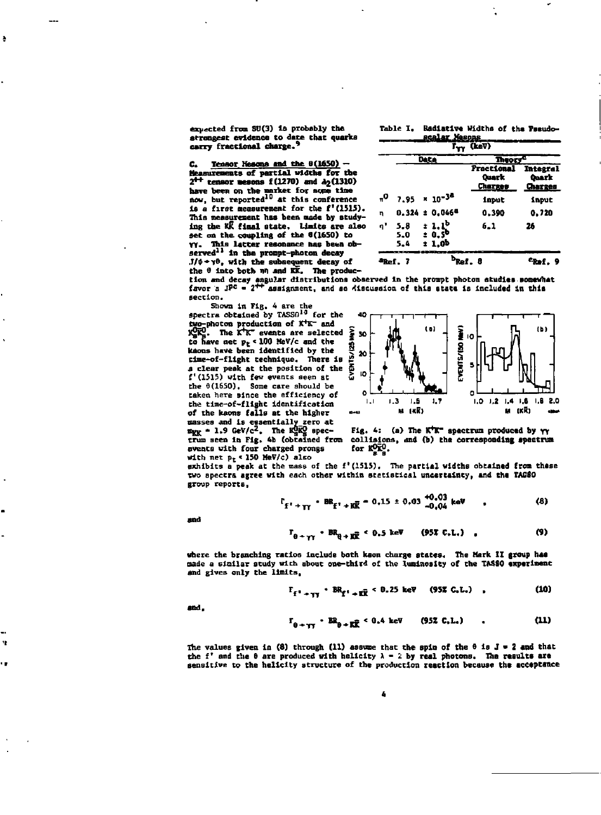**expected from SO (3) is probably the strongest evidence to dare that quarks carry fractional charge.'**  **Table I. Radiative Widths of the Faeudo-**

| $Ca$ Tensor Nesons and the $\theta(1650)$ -                       |
|-------------------------------------------------------------------|
| Measurements of partial widths for the                            |
| $2^{++}$ tensor mesons $f(1270)$ and $\lambda_2(1310)$            |
| have been on the market for some time                             |
| now, but reported <sup>10</sup> at this conference                |
| is a first measurement for the f'(1515).                          |
| This measurement has been made by study-                          |
| ing the KK final state. Limits are also                           |
| set on the coupling of the 6(1650) to                             |
| YY. This latter resonance has been ob-                            |
| served <sup>11</sup> in the prompt-photon decay                   |
| $J/\psi \rightarrow \gamma \theta$ , with the subsequent decay of |
| the <sup>8</sup> into both nn and KK. The produc-                 |

| (keV)               |                       |                                            |                                                       |                  |  |
|---------------------|-----------------------|--------------------------------------------|-------------------------------------------------------|------------------|--|
|                     | <b>Data</b>           |                                            | Theory <sup>e</sup>                                   |                  |  |
|                     |                       |                                            | <b>Fractional Integral</b><br>Quark<br><b>Charges</b> | Quark<br>Charges |  |
| °,                  |                       | $7.95 \times 10^{-34}$                     | input                                                 | input            |  |
| η                   |                       | $0.324 \pm 0.046$ <sup>6</sup>             | 0.390                                                 | 0.720            |  |
| ŋ,                  | $5 - 8$<br>5.0<br>5.4 | $: 1.1^b$<br>$: 0.5^{\circ}$<br>$\pm 1.0b$ | 6.1                                                   | 26               |  |
| <sup>a</sup> Ref. 7 |                       |                                            |                                                       |                  |  |

**tion and decay angular distributions observed in the prompt photon studies somewhat favor a JPe • 2\*\* assignment, and so rflscusaloa of this state is included In this section.** 

**Shown in Fig. 4 are the apectra obtained by TASS0<sup>10</sup> for the spectra obtained by TASSfl10 for the two-photon production of K\*K- and KgitS. The K\*K~ events are selected to have net p <sup>t</sup> < 100 Mev/c and the kaons have been identified by the clme-of-fllght technique. There la**  *a* **clear peak at the position of the f'(1515) with few events seen st the 3(1650), Some care should be taken here since the efficiency of the tlme-of-flight identification of the kaons falls at the higher masses and is eaaentlallyzero at ngg - 1.9 GeV/c<sup>2</sup> . The KgKg specevents with four charged prongs** 



**trum seen in Fig. 4b (obtained from collisions, and (b) the corresponding spectrum Fig. 4: (a) The K\*K~ spectrum produced by YY for KOK° .** 

**with net p <sup>t</sup> « 150 MeV/c) also exhibits a peak at the mass of the f'(1515). The partial widths obeainad from these two spectra agree with each other within statistical uncertainty, and the TAS80 group reports,** 

$$
t_{f' + \gamma f} \cdot BR_{f' + K\bar{K}} \sim 0.15 \pm 0.03 \stackrel{+0.03}{\sim} \text{keV} \quad . \tag{8}
$$

 $\sim$   $\sim$ 

and

Â

'n, ú,

$$
\Gamma_{\theta \to \gamma \gamma} \cdot BR_{\theta \to R\overline{R}} \leq 0.5 \text{ keV} \qquad (95\text{K C.L.}) \qquad (9)
$$

**where the branching ratios include both kson charge states. The Mark II group has made a similar study with about one-third of the luminosity of the TASS0 experiment and gives only the limits,** 

$$
\Gamma_{f^1 \to \tau \tau} \cdot BR_{f^1 \to ER} \cdot 0.25 \text{ keV} \quad (957 \text{ G.L.}) \quad , \tag{10}
$$

and,

$$
\Gamma_{\theta + \gamma \gamma} \cdot B_{\theta + K \overline{K}} \leq 0.4 \text{ keV} \qquad (952 \text{ C.L.}) \qquad . \tag{11}
$$

The values given in  $(8)$  through  $(11)$  assume that the spin of the  $\theta$  is  $J = 2$  and that the f' and the  $\theta$  are produced with helicity  $\lambda = 2$  by real photons. The results are **sensitive to the heliclty structure of the production reaction because the acceptance**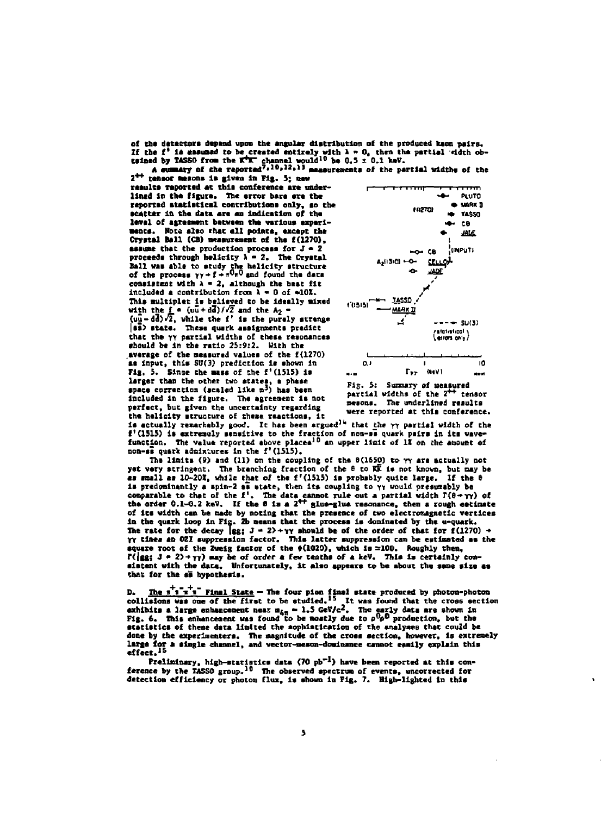of the detectors depend upon the angular distribution of the produced kaon pairs. If the f' is assumed to be created entirely with  $\lambda = 0$ , then the partial edith obtained by TASSO from the K<sup>\*</sup> channel would<sup>10</sup> be 0.5 ± 0.1 keV.<br>A summary of the reported<sup>7</sup>,<sup>10</sup>,<sup>12</sup>,<sup>13</sup> managrements of the partial

2<sup>++</sup> rensor mesons is given in Fig. 5; new

results reported at this conference are underlined in the figure. The error bars are the reported statistical contributions only, so the scatter in the data are an indication of the level of agreement between the various experiments. Note also that all points, except the Crystal Ball (CB) measurement of the f(1270). assume that the production process for  $J = 2$ proceeds through helicity  $\lambda = 2$ . The Crystal Ball was able to study the helicity structure<br>of the process  $\gamma y \rightarrow f \rightarrow \pi^0 \pi^0$  and found the data consistent with  $\lambda = 2$ , although the best fit included a contribution from  $\lambda = 0$  of  $\approx 10$ . This multiplet is believed to be ideally mixed with the f  $\bullet$  ( $u\bar{u} + d\bar{d}$ )/ $\sqrt{2}$  and the  $A_2$   $\bullet$ <br>( $u\bar{u} - d\bar{d}$ )/ $\bar{d}$ , while the f' is the purely strange 88) state. These quark assignments predict that the yy partial widths of these resonances should be in the ratio 25:9:2. With the average of the measured values of the f(1270) as input, this SU(3) prediction is shown in Fig. 5. Since the mass of the f'(1515) is larger than the other two states, a phase<br>space correction (scaled like  $m<sup>3</sup>$ ) has been included in the figure. The agreement is not perfect, but given the uncertainty regarding the helicity structure of these reactions, it



Fig. 5: Summary of measured partial widths of the 2<sup>++</sup> tensor mesons. The underlined results were reported at this conference.

is actually remarkably good. It has been argued<sup>14</sup> that the yy partial width of the f'(1515) is extremely sensitive to the fraction of non-se quark pairs in its wave-<br>function. The value reported shove places<sup>10</sup> an upper limit of 17 on the amount of non-se quark admixtures in the f'(1515).

The limits (9) and (11) on the coupling of the  $\theta(1650)$  to  $\gamma\gamma$  are actually not yet very stringent. The branching fraction of the 8 to KK is not known, but may be as small as 10-20%, while that of the f'(1515) is probably quite large. If the 0 is predominantly a spin-2 se state, then its coupling to  $\gamma y$  would presumably be<br>comparable to that of the  $f'$ . The data cannot rule out a partial width  $T(\theta + \gamma \gamma)$  of<br>the order 0.1-0.2 keV. If the 6 is a 2<sup>++</sup> glue-gl of its width can be made by noting that the presence of two electromagnetic vertices in the quark loop in Fig. 2b means that the process is dominated by the u-quark. The rate for the decay [gg;  $J = 2$ ) + $\gamma\gamma$  should be of the order of that for f(1270) +  $\gamma\gamma$  times an 021 suppression factor. This latter suppression can be estimated as the square root of the Zweig factor of the  $\phi(1020)$ , which is =100. Roughly then,  $\mathbb{R}(\lg s)$  J = 2>+ $\gamma\gamma$ ) may be of order a few teaths of a keV. This is certainly coneistent with the data. Unfortunately, it also appears to be about the same size as that for the si hypothesis.

D. The  $\frac{1}{1}$   $\frac{1}{1}$  Final State - The four pion final state produced by photon-photon<br>collisions was one of the first to be studied.<sup>15</sup> It was found that the cross section<br>exhibits a large enhancement near  $u_{4\pi}$ statistics of these data limited the sophistication of the analyses that could be done by the experimenters. The magnitude of the cross section, however, is extremely large for a single channel, and vector-meson-dominance cannot easily explain this

**Exercise 19 and 19 and 19 and 19 and 19 and 19 and 19 and 19 and 19 and 19 and 19 and 19 and 19 and 19 and 19 and 19 and 19 and 19 and 19 and 19 and 19 and 19 and 19 and 19 and 19 and 19 and 19 and 19 and 19 and 19 and 1**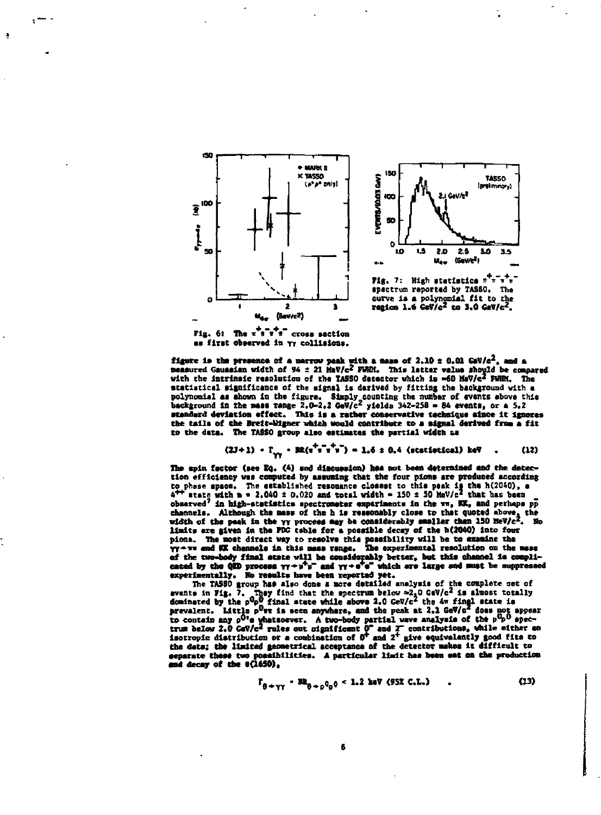

Fig. 6: The  $\tau^+ \tau^- \tau^-$  cross section es first observed in yy collisions.

 $\overline{\mathbf{z}}$ 

figure is the presence of a marrow peak with a mass of 2.10  $\pm$  0.01 GeV/c<sup>2</sup>, and a peasured Gaussian width of 94  $\pm$  21 HeV/c<sup>2</sup> FWH:. This latter value should be compared with the intrinsic resolution of the TASSO detector which is =60 MaV/c2 FWHM. The statistical significance of the signal is derived by fitting the background with a polynomial as shown in the figure. Simply counting the number of events above this<br>background in the mass range 2.0-2.2 GeV/c<sup>2</sup> yields 342-258 = 84 events, or a 5.2<br>standard deviation effect. This is a rather conservative the tails of the Breit-Wigner which would contribute to a signal derived from a fit to the data. The TASSO group also estimates the partial width as

$$
2J+1) \cdot \Gamma_{...} \cdot BR(\pi^T \pi^T \pi^T \pi^T) = 1.6 \pm 0.4 \text{ (statistical) keV } . \qquad (12)
$$

The spin factor (see Eq. (4) and discussion) has not been determined and the detection efficiency was computed by assuming that the four pions are produced according Explores space. The established resonance closest to this pak is the h(2040), a<br> $4^{++}$  state with n = 2,040 ± 0,020 and total width = 150 ± 50 MeV/c<sup>2</sup> that has been<br>observed<sup>7</sup> in high-statistics spectrometer experiments observed in ingen-ideals and the hat a research of the highest spectrum in the width of the pask in the next of the highest presentation of the branch of the past in the past in the process may be consideredly smaller tha Mo pions. The most direct way to resolve this possibility will be to examine the yy and KK channels in this mass range. The experimental resolution on the mass of the two-body final atate will be considerably better, but this channel is compli-<br>cated by the QED process  $\gamma \gamma \rightarrow u^+ \mu^-$  and  $\gamma \gamma \rightarrow e^+ e^-$  which are large and must be suppressed

cated by the QED process  $\gamma \gamma \rightarrow u^T \gamma^-$  and  $\gamma \gamma \rightarrow e^T \gamma^-$  which are large and must be suppressed<br>experientably. No results have been reported yet.<br>The TASSO group has also done a more detailed analysis of the complete os engagement these two possibilities. A particular limit has been set on the production<br>and decay of the 0(1650),

$$
\Gamma_{\theta \to \gamma\gamma} = \text{BR}_{\theta \to \rho} 0_{\rho} 0 \le 1.2 \text{ keV (95K C.L.)}
$$
 (13)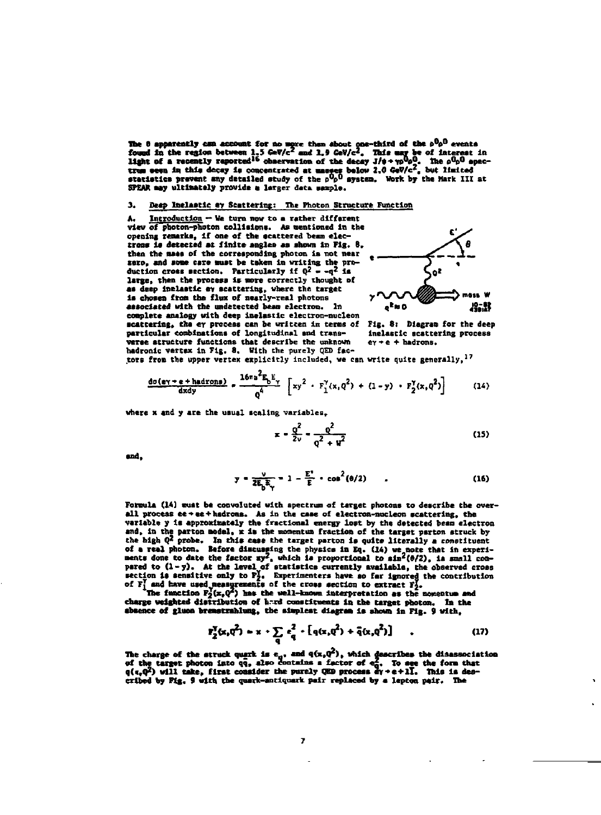The 6 apparently can account for no more than about one-third of the  $b^{00}$  events found in the region between 1.5 GeV/c<sup>2</sup> and 1.9 GeV/c<sup>2</sup>. This may be of interest in light of a recently reported<sup>16</sup> observation of the SPEAR may ultimately provide a larger data sample.

## **3. Beep Inelastic ay Scattering: The Photon Structure Function**

Introduction - We turn now to a rather different **view of photon-photon collisions. As nentloned In the opening remarks. If one of the scattered beam electros\* is detected at finite angles as shown in Fig. 6, then the nats** *ot* **the corresponding photon la not near sere, and some care suet be taken in writing the pro-duction cross acctlon. Particularly if (|2 \_ \_q2 j .**  large, then the process is more correctly thought of **as deep Inelastic ev scattering, where the target is chosen from the flux of nearly-real photons associated with the undetected bean electron.** In a<sup>k</sup>NO  $^{0.02}_{0.02}$ **complete analogy with deep Inelastic electron-nucleon scattering, the er process can be written in terms of Fig. 8i Dlagraa for the deep**  particular combinations of longitudinal and trans**verse structure functions that describe the unknown CY+e + hadrons. hadronlc vertex In Fig. 8. With the purely QED fac-**



**tors from the upper vertex explicitly Included, we can write quite generally,<sup>1</sup> <sup>7</sup>**

 $\blacksquare$ 

$$
\frac{\text{do}\left(\text{ey} + \text{e} + \text{hadrons}\right)}{\text{d}x \text{dy}} = \frac{16\pi \text{a}^2 F_b E_y}{\text{q}^4} \left[ x y^2 + F_1^Y(x, \text{q}^2) + (1 - y) + F_2^Y(x, \text{q}^2) \right] \tag{14}
$$

**where x and y are the usual scaling variables.** 

$$
-\frac{q^2}{2v} - \frac{q^2}{q^2 + u^2} \tag{15}
$$

**and,** 

$$
y = \frac{v}{2E_bE_y} = 1 - \frac{E^2}{E} - \cos^2(\theta/2)
$$
 (16)

**Formula (la) must be convoluted with spectrum of target photons to describe the overall process ee»«e+hadrons. As in the caae of electron-nucleon scattering, the variable y is approximately the fractional energy lost by the detected beam electron**  and, in the parton model, x is the momentum fraction of the target parton struck by<br>the high Q<sup>2</sup> probe. In this case the target parton is quite literally a constituent<br>of a real photon. Before discussing the physics in E

of F; and have used measurements of the cross section to extract Fi.<br>The function Fi(x,Q') has the well-known interpretation as the momentum and<br>charge weighted distribution of hard constituents in the target photon. In th **absence of gluoo bremstxahlung, the slmpleat dlagraa is shown in Fig. 9 with,** 

$$
P_2^T(x, q^2) = x \cdot \sum_{q} e_q^2 \cdot [q(x, q^2) + \bar{q}(x, q^2)] \qquad , \qquad (17)
$$

The charge of the struck quark is e<sub>n</sub>, and q(x,Q°), which describes the diaassociation<br>of the target photon into qq, also contains a factor of eq. To see the form that<br>q(t,Q<sup>2</sup>) will take, firat consider the purely QEO pr cribed by Fig. 9 with the quark-antiquark pair replaced by a lepton pair. The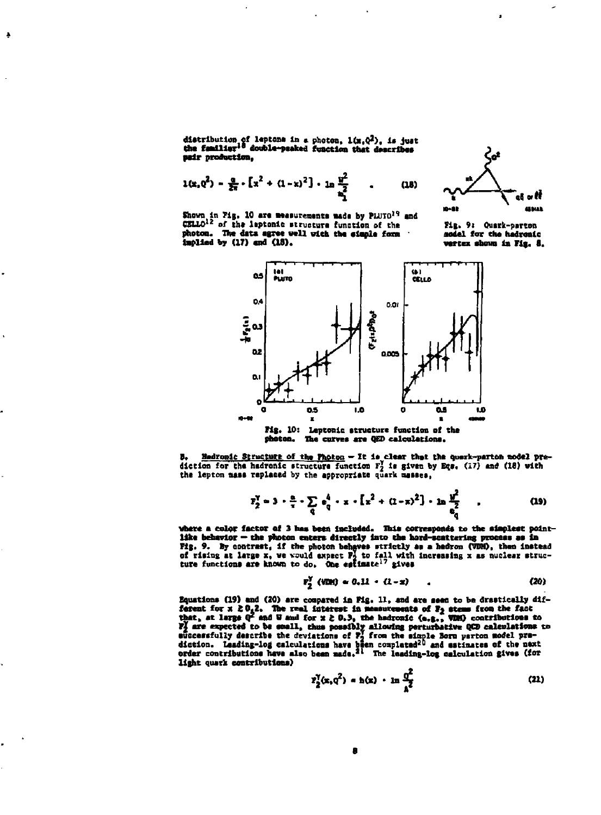distribution of leptons in a photon,  $1(x_1Q^2)$ , is just<br>the familiar<sup>18</sup> double-peaked function that describes pair production.

÷

$$
1(x, 0^2) - \frac{a}{2x} \cdot [x^2 + (1-x)^2] \cdot \ln \frac{y^2}{x_1^2} \qquad . \qquad (18)
$$



Shown in Fig. 10 are measurements made by PLUTO<sup>19</sup> and CELLO<sup>12</sup> of the laptonic structure function of the photon. The data agree well with the simple form implied by (17) and (18).

Fig. 9: Quark-parton asdel for the hadrenic vertex shown in Fig. 8.



Fig. 10: Leptonic structure function of the photon. The curves are QED calculations.

Hadronic Structure of the Photon - It is clear that the querk-parton model prediction for the hadronic structure function F<sub>2</sub> is given by Eqs. (17) and (18) with the lepton mass replaced by the appropriate quark masses,

$$
r_2^{\gamma} = 3 \cdot \frac{a}{\tau} \cdot \sum_{q} e_q^4 \cdot x \cdot [x^2 + (1 - \pi)^2] \cdot \ln \frac{y^2}{a_n^2} \qquad . \tag{19}
$$

where a color factor of 3 has been included. This corresponds to the simplest pointlike behavior - the photon enters directly into the hard-scattering process as in Fig. 9. By contrast, if the photon behaves strictly as a hedron (VDH), then instead<br>of rising at large x, we would expect P<sub>2</sub> to fall with increasing x as nuclear struc-<br>ture functions are known to do. One estimate<sup>17</sup> gi

$$
F_2^{\gamma} (VDR) = 0.11 + (1-x) \tag{20}
$$

Equations (19) and (20) are compared in Fig. 11, and are seen to be drastically dif-Equations (19) and (20) are compared in Fig. 11, and are meen to be oriented and the fact<br>that, at large  $Q^2$  and W and for  $x \ge 0,3$ , the hedronic (e.g., VDS) contributions to<br>that, at large  $Q^2$  and W and for  $x \ge 0,3$ light quark contributions)

$$
r_2^{\gamma}(x, q^2) = h(x) + \ln \frac{q^2}{2}
$$
 (21)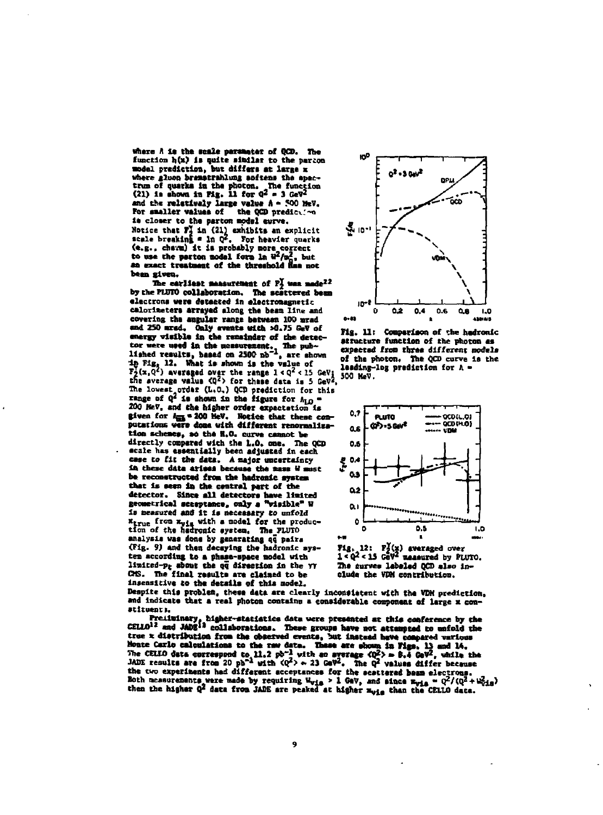where A is the scale parameter of QCD. The function h(x) is quite similar to the parton model prediction, but differs at large x where gluon bramstrahlung softens the apectrum of quarks in the photon. The function (21) is shown in Fig. 11 for  $q^2 = 3 GeV^2$ and the relatively large value  $A = 500$  MeV.<br>For smaller values of the QCD prediction is closer to the parton model curve. Notice that  $\overline{r_1}$  in (21) exhibits an explicit<br>scale breaking = 1n  $Q^2$ . For heavier quarks scare pressing  $\frac{1}{2}$  is probably nore correct<br>to use the perton nodel form in  $W^2/m^2$ , but<br>to use the perton nodel form in  $W^2/m^2$ , but<br>an exact treatment of the threshold has not been given.

The earliest measurement of  $F_2^Y$  was made<sup>22</sup> by the PLUTO collaboration. The scattered beam electrons were detacted in electromagnetic calorimeters arrayed along the beam line and covering the augular range between 100 mrad and 250 mrsd. Only events with >0.75 GeV of energy visible in the remainder of the detectracture used in the measurement. The pub-<br>
tructure used in the measurement. The pub-<br>
light right 12. What is shown in the value of the pl<br>
16. We show is the value of the pub-<br>  $T_2^2(x, q^2)$  average over the range  $1 < q$ The lowest order (L.O.) QCD prediction for this wange of  $Q^2$  is shown in the figure for  $\Lambda_{LO}$  = 200 HeV, and the higher order expectation is given for Ans = 200 HeV. Hotice that these computations were done with different renormalization schemes, so the H.O. curve cannot be directly compared with the L.O. one. The OCD scale has essentially been adjusted in each case to fit the data. A major uncertainty in these data arises because the mass il must be reconstructed from the hadronic system that is seen in the central part of the detector. Since all detectors have limited<br>geometrical sceeptance, only a "visible" W is measured and it is necessary to unfold x<sub>true</sub> from x<sub>vis</sub> with a model for the produc-<br>tion of the hadronic system. The FLUTO analysis was done by generating qq pairs (Fig. 9) and then decaying the hadronic system according to a phase-space model with limited-pp shout the og direction in the YY CMS. The final results are claimed to be insensitive to the details of this model.



Fig. 11: Comparison of the hadronic structure function of the photon as expected from three different models of the photon. The QCD curve is the leading-log prediction for  $\Lambda$  -





Despite this problem, these data are clearly inconsistent with the VDM prediction. and indicate that a real photon contains a considerable component of large x constituents.

Freituinary, higher-statistics data were presented at this conference by the CELLO<sup>12</sup> and JADE<sup>13</sup> collaborations. These groups have not attempted to unfold the the r distribution from the observed events, but instead have now need that the r distribution from the observed events, but instead have compared various home for the random in Figs. 15 and 14.<br>The CELIO data correspond the two experiments had different acceptances for the scattered beam electrons. Both neasurements were made by requiring W<sub>yls</sub> > 1 GeV, and since  $\frac{1}{2}$  = 0<sup>2</sup>/(0<sup>2</sup> + W<sub>yls</sub> = 0<sup>2</sup>/(0<sup>2</sup> + W<sub>yls</sub> = 0<sup>2</sup>/(0<sup>2</sup> + W<sub>yls</sub> = 0<sup>2</sup>/(0<sup>2</sup> + W<sub>yls</sub>)

9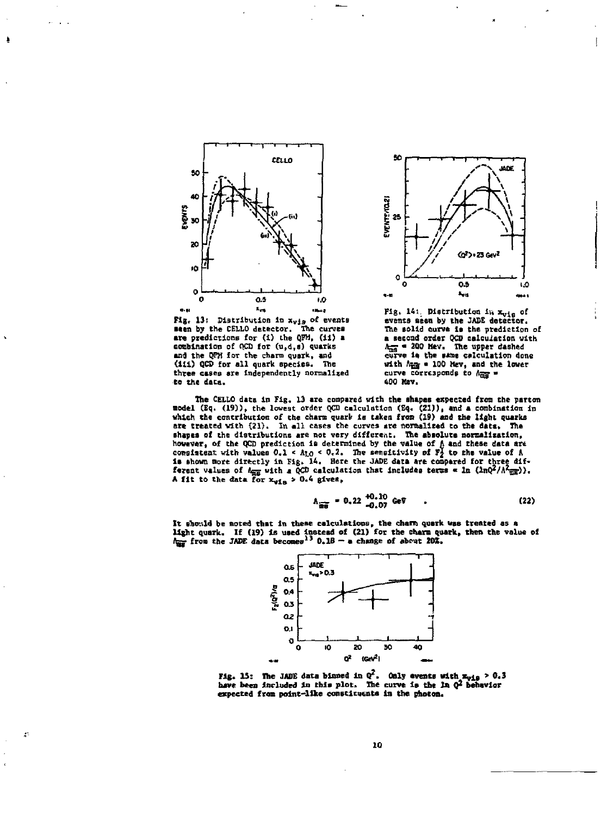



 $\mathcal{L}^{\mathsf{c}}$ 



Fig. 14: Distribution in  $x_{\text{tris}}$  of **events sees by the JADE detector. The solid curve is the prediction of a second order QCD calculation with**   $\lambda_{\overline{m}S}$  = 200 Hev. The upper dashed curve is the same calculation done **with Agj • 100 Hev, and the lover**  curve corresponds to  $A_{\overline{m} \overline{g}} =$ **400 Kev,** 

**The CELLO data In Fig. 13 are compared with the shapes expected from the parton •odel (Eq. (19)), the lowest order QCD calculation (£q. (21)), and a combination in vhleh the contribution of the chars quark Is taken from (19) and the light quarks**  are treated with (21). In all cases the curves are normalized to the data. The shapes of the distributions are not very different. The absolute normalization, shapes of the distributions are not very different. The absolute normalization, of the QCD prediction is determined by the value of A and these data are consistent with values 0.1 < A<sub>10</sub> < 0.2. The sensitivity of  $P_2$  t

$$
\Lambda_{\overline{\text{mg}}} = 0.22 \frac{+0.10}{-0.07} \text{ GeV} \qquad . \tag{22}
$$

It should be noted that in these calculations, the charm quark was treated as a<br>light quark. If (19) is used instead of (21) for the tharm quark, then the value of<br>h<sub>ww</sub> from the JADE data becomes<sup>13</sup> O.18 – a change of ab



**Fig. IS: The JADE data binned in 0\*. Only events with** *xv±t* **> 0.3 have been Included In this slot. The curve is the In Q <sup>2</sup> behavior**  expected from point-like constituents in the photon.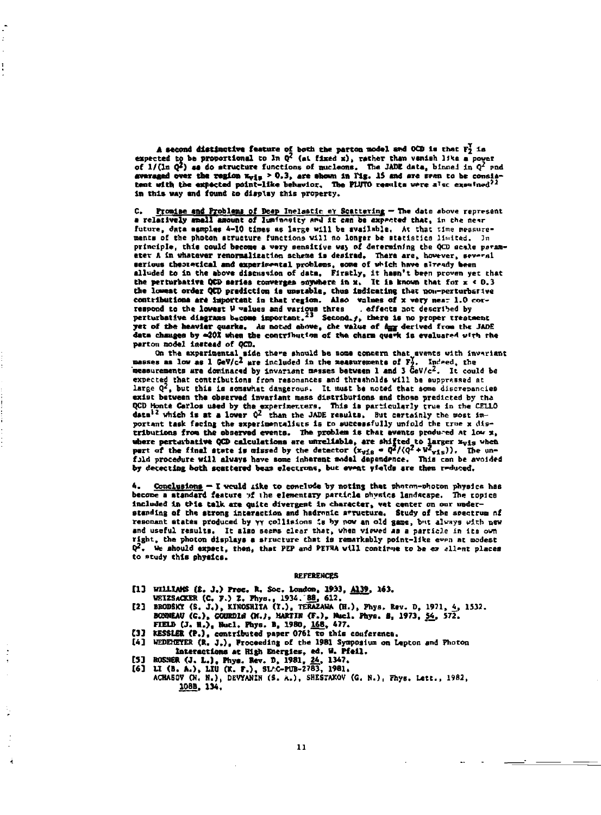A second distinctive feature of both the parton model and OCD is that  $F_2^Y$  is expected to be proportional to ln  $Q^2$  (at fixed x), rather than vanish like a power of  $1/( \ln Q^2)$  as do structure functions of nucleons. T averaged over the region  $\kappa_{\nu 12} > 0.3$ , are shown in Fig. 15 and are seen to be consistent with the expected point-like behavior. The PLUTO results were also experimed<sup>22</sup> in this way and found to display this property.

 $\ddot{\phantom{0}}$ 

J.

C. Promise and Problems of Deep Inelastic ey Scattering - The data above represent<br>a relatively amall amount of luminosity and it can be expected that, in the near c, future, data samples 4-10 times as large will be available. At that time measurements of the photon structure functions will no longer be statistics limited. In principle, this could become a very sensitive way of determining the QCD scale paramater A in whatever renormalization scheme is desirad. There are, however, several serious theoretical and experimental problems, some of which have already been Serious theoretical and experimentel processor, some we will made the proven yet that<br>alluded to in the above discussion of data, Firstly, it hasn't been proven yet that<br>the perturbative QCD series converges supplete in x the lowest order QCD prediction is unstable, thus indicating that non-perturbative contributions are important in that region. Also values of x very near 1.0 correspond to the lowest W values and various three carefects not described by<br>perturbative diagrams become important.<sup>23</sup> Second.<sub>f</sub>, there is no proper treatment yet of the heavier quarke. As noted above, the value of day derived from the JADE data changes by 420% when the contribution of the charm quark is evaluated with the parton model instead of OCD.

On the experimental side there should be some concern that events with invariant masses as low as 1 GeV/c<sup>2</sup> are included in the measurements of  $F_2^f$ . Indeed, the measurements are dominated by invariant masses between 1 and 3  $GeV/c^2$ . It could be expected that contributions from resonances and thresholds will be suppressed at large  $Q^2$ , but this is somewhat dangerous. It must be noted that some discrepancies exist between the observed invariant mass distributions and those predicted by the QCD Honte Carlos used by the experimenters. This is particularly true in the CELLO data<sup>12</sup> which is at a lower  $Q^2$  than the JADE results. But certainly the wost important task facing the experimentalists is no successfully unfold the true x distributions from the observed events. The problem is that events produced at low x, where perturbative QCD calculations are unreliable, are shifted to larger  $x_{v1s}$  when<br>pert of the final state is missed by the detector  $(x_{v1s} = Q^2/(Q^2 + w^2_{v1s}))$ . The unfuld procedure will always have some inherent model dependence. This can be avoided by detecting both scattered beam electrons, but event yields are then reduced.

Conclusions - I would like to conclude by noting that photon-photon physics has become a standard feature of the elementary particle mhysics landscape. The copics included in this talk are quite divergent in character, vet center on our understanding of the strong interaction and hadronic arructure. Study of the spectrum of resonant states produced by vy collisions is by now an old game, but always with new and useful results. It also seems clear that, when viewed as a particle in its own right, the photon displays a structure that is remarkably point-like even at modest Q<sup>2</sup>. We should expect, then, that PEP and PETRA will continue to be ex allent places to study this physics.

## **REFERENCES**

- [1] WILLIAMS (2. J.) Proc. R. Soc. London, 1933, A139, 163.
	-
- VEIISACKER (C. F.) Z. Fhys., 1934. 88, 612.<br>[2] BRODSKY (S. J.), KIROSRITA (T.), TERAZAWA (H.), Phys. Rev. D. 1971. 4. 1532. BONNEAU (C.), GOURDIN (N.), MARTIN (F.), Macl. Phys. 8, 1973, 54, 572.<br>FIELD (J. H.), Bacl. Phys. B, 1980, 168, 477.
- 
- (3) RESSLER (P.), contributed paper 0761 to this conference.<br>[4] WEDENETER (R. J.), Proceeding of the 1981 Symposium on Lapton and Photon Interactions at High Energies, ed. W. Pfeil.
- 
- 

[5] ROSNER (J. L.), Phys. Rev. D. 1981, 24, 1347.<br>
[6] LI (B. A.), LIU (K. F.), SL'C-PUB-2783, 1981.<br>
ACHASOV (N. N.), DEVYANIN (S. A.), SHESTAKOV (G. N.), Fhys. Lett., 1982. 108B, 134.